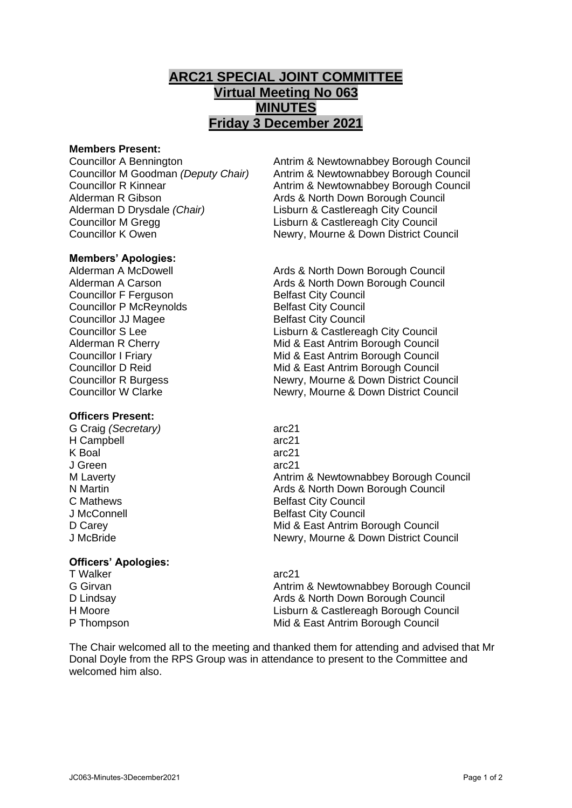## **ARC21 SPECIAL JOINT COMMITTEE Virtual Meeting No 063 MINUTES Friday 3 December 2021**

### **Members Present:**

Alderman R Gibson **Ards & North Down Borough Council** Alderman D Drysdale *(Chair)* Lisburn & Castlereagh City Council Councillor M Gregg Lisburn & Castlereagh City Council

# **Members' Apologies:**

**Councillor F Ferguson Council Belfast City Council** Councillor P McReynolds Belfast City Council **Councillor JJ Magee Belfast City Council** 

### **Officers Present:**

G Craig *(Secretary)* arc21 H Campbell arc21 K Boal arc21 J Green arc21

### **Officers' Apologies:**

T Walker arc21<br>
G Girvan arc21<br>
Antrin

Councillor A Bennington **Antrim & Newtownabbey Borough Council**<br>Councillor M Goodman *(Deputy Chair)* Antrim & Newtownabbey Borough Council Antrim & Newtownabbey Borough Council Councillor R Kinnear **Antrim & Newtownabbey Borough Council** Councillor K Owen **Newry, Mourne & Down District Council** 

Ards & North Down Borough Council Alderman A Carson **Ards & North Down Borough Council** Councillor S Lee Lisburn & Castlereagh City Council Alderman R Cherry **Mid & East Antrim Borough Council** Councillor I Friary Mid & East Antrim Borough Council Councillor D Reid Mid & East Antrim Borough Council Councillor R Burgess Newry, Mourne & Down District Council Councillor W Clarke Newry, Mourne & Down District Council

M Laverty **Antrim & Newtownabbey Borough Council**<br>
N Martin **Antrim & Newtownabbey Borough Council**<br>
Ards & North Down Borough Council Ards & North Down Borough Council C Mathews **Belfast City Council** J McConnell **Belfast City Council** D Carey **D** Carey **Mid & East Antrim Borough Council** J McBride Newry, Mourne & Down District Council

Antrim & Newtownabbey Borough Council D Lindsay **Ards & North Down Borough Council** Pulled Ards & North Down Borough Council H Moore Lisburn & Castlereagh Borough Council P Thompson Mid & East Antrim Borough Council

The Chair welcomed all to the meeting and thanked them for attending and advised that Mr Donal Doyle from the RPS Group was in attendance to present to the Committee and welcomed him also.